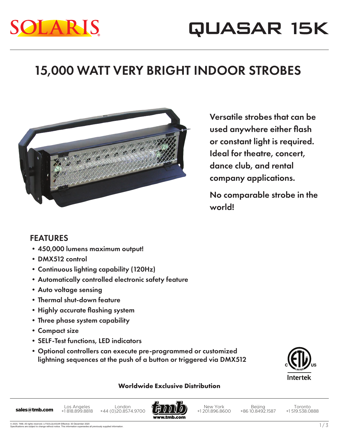# LAR

### 15,000 WATT VERY BRIGHT INDOOR STROBES



Versatile strobes that can be used anywhere either flash or constant light is required. Ideal for theatre, concert, dance club, and rental company applications.

No comparable strobe in the world!

#### FEATURES

- •450,000 lumens maximum output!
- •DMX512 control
- •Continuous lighting capability (120Hz)
- •Automatically controlled electronic safety feature
- •Auto voltage sensing
- •Thermal shut-down feature
- Highly accurate flashing system
- •Three phase system capability
- •Compact size
- •SELF-Test functions, LED indicators
- •Optional controllers can execute pre-programmed or customized lightning sequences at the push of a button or triggered via DMX512



#### **Worldwide Exclusive Distribution**

Los Angeles +1 818.899.8818 London Los Angeles London<br>**sales@tmb.com** +1818.899.8818 +44 (0)20.8574.9700



New York +1 201.896.8600

Beijing +86 10.8492.1587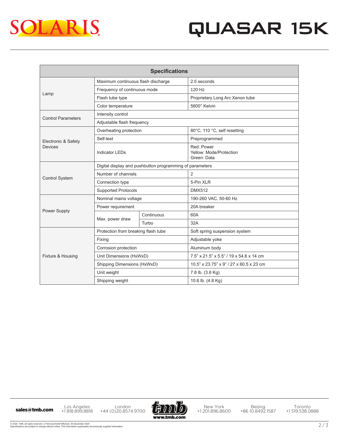

## QUASAR 15K

| <b>Specifications</b>          |                                                          |            |                                                      |
|--------------------------------|----------------------------------------------------------|------------|------------------------------------------------------|
| Lamp                           | Maximum continuous flash discharge                       |            | 2.5 seconds                                          |
|                                | Frequency of continuous mode                             |            | 120 Hz                                               |
|                                | Flash tube type                                          |            | Proprietary Long Arc Xenon tube                      |
|                                | Color temperature                                        |            | 5600° Kelvin                                         |
| <b>Control Parameters</b>      | Intensity control                                        |            |                                                      |
|                                | Adjustable flash frequency                               |            |                                                      |
| Electronic & Safety<br>Devices | Overheating protection                                   |            | 80°C, 110 °C, self resetting                         |
|                                | Self-test                                                |            | Preprogrammed                                        |
|                                | <b>Indicator LEDs</b>                                    |            | Red: Power<br>Yellow: Mode/Protection<br>Green: Data |
| <b>Control System</b>          | Digital display and pushbutton programming of parameters |            |                                                      |
|                                | Number of channels                                       |            | 2                                                    |
|                                | Connection type                                          |            | 5-Pin XLR                                            |
|                                | <b>Supported Protocols</b>                               |            | <b>DMX512</b>                                        |
| Power Supply                   | Nominal mains voltage                                    |            | 190-260 VAC, 50-60 Hz                                |
|                                | Power requirement                                        |            | 20A breaker                                          |
|                                | Max. power draw                                          | Continuous | 60A                                                  |
|                                |                                                          | Turbo      | 32A                                                  |
| Fixture & Housing              | Protection from breaking flash tube                      |            | Soft spring suspension system                        |
|                                | Fixing                                                   |            | Adjustable yoke                                      |
|                                | Corrosion protection                                     |            | Aluminum body                                        |
|                                | Unit Dimensions (HxWxD)                                  |            | 7.5" x 21.5" x 5.5" / 19 x 54.6 x 14 cm              |
|                                | Shipping Dimensions (HxWxD)                              |            | 10.5" x 23.75" x 9" / 27 x 60.5 x 23 cm              |
|                                | Unit weight                                              |            | 7.8 lb. (3.6 Kg)                                     |
|                                | Shipping weight                                          |            | 10.6 lb. (4.8 Kg)                                    |

Los Angeles +1 818.899.8818 Los Angeles London<br>
+44 (0)20.8574.9700 +1818.899.8818 +44 (0)20.8574.9700



New York +1 201.896.8600

Beijing +86 10.8492.1587

Toronto +1 519.538.0888